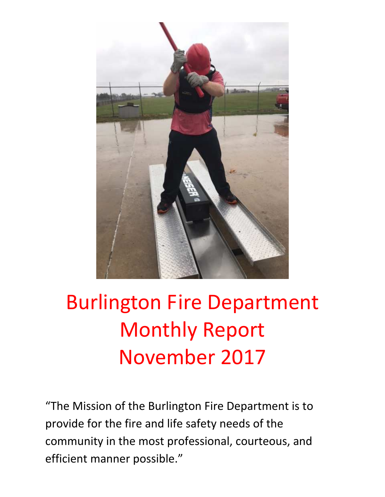

# Burlington Fire Department Monthly Report November 2017

"The Mission of the Burlington Fire Department is to provide for the fire and life safety needs of the community in the most professional, courteous, and efficient manner possible."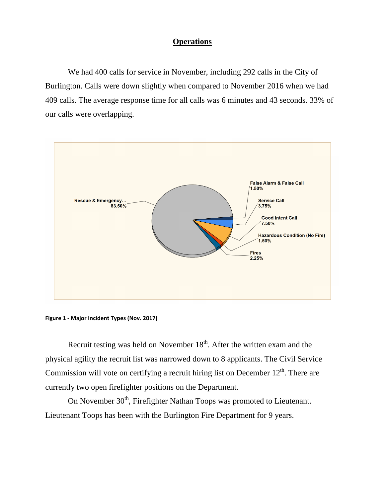#### **Operations**

We had 400 calls for service in November, including 292 calls in the City of Burlington. Calls were down slightly when compared to November 2016 when we had 409 calls. The average response time for all calls was 6 minutes and 43 seconds. 33% of our calls were overlapping.





Recruit testing was held on November  $18<sup>th</sup>$ . After the written exam and the physical agility the recruit list was narrowed down to 8 applicants. The Civil Service Commission will vote on certifying a recruit hiring list on December  $12<sup>th</sup>$ . There are currently two open firefighter positions on the Department.

On November 30<sup>th</sup>, Firefighter Nathan Toops was promoted to Lieutenant. Lieutenant Toops has been with the Burlington Fire Department for 9 years.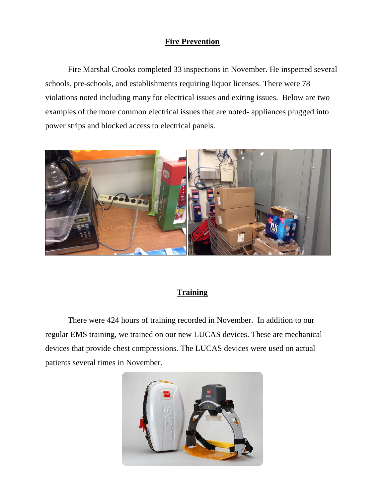### **Fire Prevention**

Fire Marshal Crooks completed 33 inspections in November. He inspected several schools, pre-schools, and establishments requiring liquor licenses. There were 78 violations noted including many for electrical issues and exiting issues. Below are two examples of the more common electrical issues that are noted- appliances plugged into power strips and blocked access to electrical panels.



### **Training**

There were 424 hours of training recorded in November. In addition to our regular EMS training, we trained on our new LUCAS devices. These are mechanical devices that provide chest compressions. The LUCAS devices were used on actual patients several times in November.

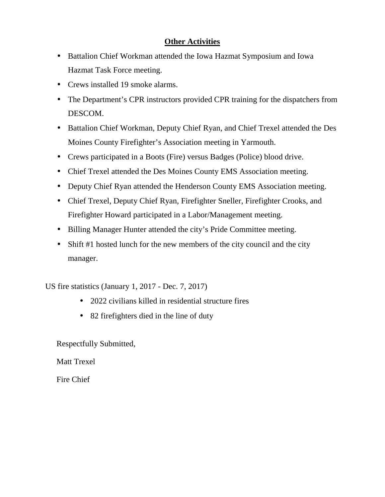### **Other Activities**

- Battalion Chief Workman attended the Iowa Hazmat Symposium and Iowa Hazmat Task Force meeting.
- Crews installed 19 smoke alarms.
- The Department's CPR instructors provided CPR training for the dispatchers from DESCOM.
- Battalion Chief Workman, Deputy Chief Ryan, and Chief Trexel attended the Des Moines County Firefighter's Association meeting in Yarmouth.
- Crews participated in a Boots (Fire) versus Badges (Police) blood drive.
- Chief Trexel attended the Des Moines County EMS Association meeting.
- Deputy Chief Ryan attended the Henderson County EMS Association meeting.
- Chief Trexel, Deputy Chief Ryan, Firefighter Sneller, Firefighter Crooks, and Firefighter Howard participated in a Labor/Management meeting.
- Billing Manager Hunter attended the city's Pride Committee meeting.
- Shift #1 hosted lunch for the new members of the city council and the city manager.

US fire statistics (January 1, 2017 - Dec. 7, 2017)

- 2022 civilians killed in residential structure fires
- 82 firefighters died in the line of duty

Respectfully Submitted,

Matt Trexel

Fire Chief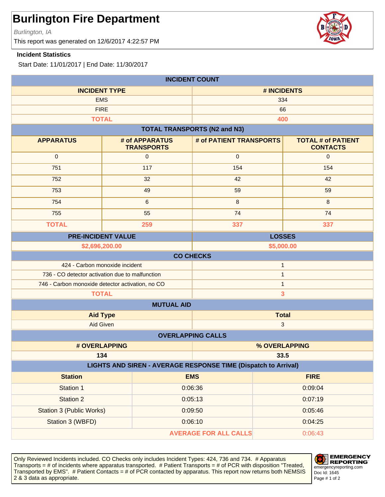Burlington, IA

This report was generated on 12/6/2017 4:22:57 PM

#### **Incident Statistics**

Start Date: 11/01/2017 | End Date: 11/30/2017

| <b>INCIDENT COUNT</b>                                            |                                     |                                     |                                              |  |
|------------------------------------------------------------------|-------------------------------------|-------------------------------------|----------------------------------------------|--|
| <b>INCIDENT TYPE</b>                                             |                                     | # INCIDENTS                         |                                              |  |
|                                                                  | <b>EMS</b>                          |                                     | 334                                          |  |
|                                                                  | <b>FIRE</b>                         | 66                                  |                                              |  |
|                                                                  | <b>TOTAL</b>                        |                                     | 400                                          |  |
|                                                                  |                                     | <b>TOTAL TRANSPORTS (N2 and N3)</b> |                                              |  |
| <b>APPARATUS</b>                                                 | # of APPARATUS<br><b>TRANSPORTS</b> | # of PATIENT TRANSPORTS             | <b>TOTAL # of PATIENT</b><br><b>CONTACTS</b> |  |
| $\pmb{0}$                                                        | $\mathbf 0$                         | $\mathbf 0$                         | $\mathbf{0}$                                 |  |
| 751                                                              | 117                                 | 154                                 | 154                                          |  |
| 752                                                              | 32                                  | 42                                  | 42                                           |  |
| 753                                                              | 49                                  | 59                                  | 59                                           |  |
| 754                                                              | 6                                   | 8                                   | 8                                            |  |
| 755                                                              | 55                                  | 74                                  | 74                                           |  |
| <b>TOTAL</b>                                                     | 259                                 | 337                                 | 337                                          |  |
| <b>PRE-INCIDENT VALUE</b><br><b>LOSSES</b>                       |                                     |                                     |                                              |  |
| \$2,696,200.00                                                   |                                     |                                     | \$5,000.00                                   |  |
|                                                                  |                                     | <b>CO CHECKS</b>                    |                                              |  |
|                                                                  | 424 - Carbon monoxide incident      |                                     | $\mathbf{1}$                                 |  |
| 736 - CO detector activation due to malfunction                  |                                     | $\mathbf{1}$<br>$\mathbf{1}$        |                                              |  |
| 746 - Carbon monoxide detector activation, no CO<br><b>TOTAL</b> |                                     | 3                                   |                                              |  |
|                                                                  | <b>MUTUAL AID</b>                   |                                     |                                              |  |
| <b>Total</b><br><b>Aid Type</b>                                  |                                     |                                     |                                              |  |
| Aid Given<br>$\mathbf{3}$                                        |                                     |                                     |                                              |  |
|                                                                  |                                     | <b>OVERLAPPING CALLS</b>            |                                              |  |
|                                                                  | # OVERLAPPING                       |                                     | % OVERLAPPING                                |  |
|                                                                  | 134<br>33.5                         |                                     |                                              |  |
| LIGHTS AND SIREN - AVERAGE RESPONSE TIME (Dispatch to Arrival)   |                                     |                                     |                                              |  |
| <b>Station</b>                                                   |                                     | <b>EMS</b>                          | <b>FIRE</b>                                  |  |
| Station 1                                                        |                                     | 0:06:36                             | 0:09:04                                      |  |
| Station 2                                                        |                                     | 0:05:13                             | 0:07:19                                      |  |
| <b>Station 3 (Public Works)</b>                                  |                                     | 0:09:50                             | 0:05:46                                      |  |
| Station 3 (WBFD)                                                 |                                     | 0:06:10<br>0:04:25                  |                                              |  |
| <b>AVERAGE FOR ALL CALLS</b><br>0:06:43                          |                                     |                                     |                                              |  |

Only Reviewed Incidents included. CO Checks only includes Incident Types: 424, 736 and 734. # Apparatus Transports = # of incidents where apparatus transported. # Patient Transports = # of PCR with disposition "Treated, Transported by EMS". # Patient Contacts = # of PCR contacted by apparatus. This report now returns both NEMSIS 2 & 3 data as appropriate. The set of 2 set of 2 set of 2 set of 2 set of 2 set of 2 set of 2 set of 2 set of 2



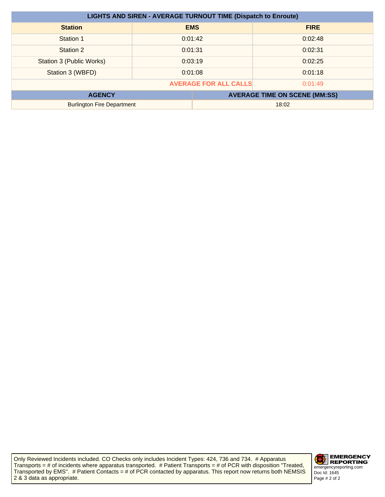| <b>LIGHTS AND SIREN - AVERAGE TURNOUT TIME (Dispatch to Enroute)</b> |  |            |                                      |
|----------------------------------------------------------------------|--|------------|--------------------------------------|
| <b>Station</b>                                                       |  | <b>EMS</b> | <b>FIRE</b>                          |
| Station 1                                                            |  | 0:01:42    | 0:02:48                              |
| Station 2                                                            |  | 0:01:31    | 0:02:31                              |
| <b>Station 3 (Public Works)</b>                                      |  | 0:03:19    | 0:02:25                              |
| Station 3 (WBFD)                                                     |  | 0:01:08    | 0:01:18                              |
| <b>AVERAGE FOR ALL CALLS</b><br>0:01:49                              |  |            |                                      |
| <b>AGENCY</b>                                                        |  |            | <b>AVERAGE TIME ON SCENE (MM:SS)</b> |
| <b>Burlington Fire Department</b>                                    |  | 18:02      |                                      |

Only Reviewed Incidents included. CO Checks only includes Incident Types: 424, 736 and 734. # Apparatus Transports = # of incidents where apparatus transported. # Patient Transports = # of PCR with disposition "Treated, Transported by EMS". # Patient Contacts = # of PCR contacted by apparatus. This report now returns both NEMSIS 2 & 3 data as appropriate.

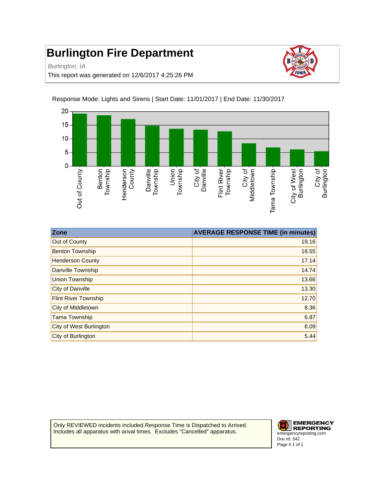Burlington, IA

This report was generated on 12/6/2017 4:25:26 PM



Response Mode: Lights and Sirens | Start Date: 11/01/2017 | End Date: 11/30/2017

| Zone                        | <b>AVERAGE RESPONSE TIME (in minutes)</b> |
|-----------------------------|-------------------------------------------|
| Out of County               | 19.16                                     |
| <b>Benton Township</b>      | 18.55                                     |
| <b>Henderson County</b>     | 17.14                                     |
| <b>Danville Township</b>    | 14.74                                     |
| <b>Union Township</b>       | 13.66                                     |
| City of Danville            | 13.30                                     |
| <b>Flint River Township</b> | 12.70                                     |
| City of Middletown          | 8.36                                      |
| <b>Tama Township</b>        | 6.87                                      |
| City of West Burlington     | 6.09                                      |
| City of Burlington          | 5.44                                      |

Only REVIEWED incidents included.Response Time is Dispatched to Arrived. Includes all apparatus with arival times. Excludes "Cancelled" apparatus.

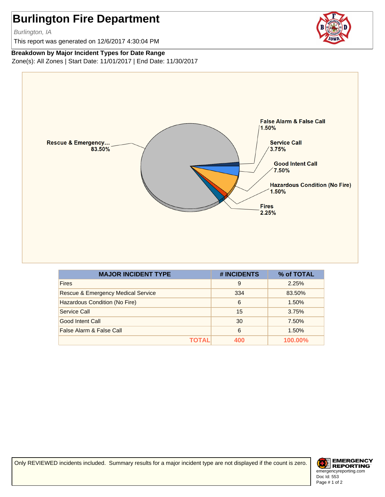Burlington, IA

This report was generated on 12/6/2017 4:30:04 PM



**Breakdown by Major Incident Types for Date Range**

Zone(s): All Zones | Start Date: 11/01/2017 | End Date: 11/30/2017



| <b>MAJOR INCIDENT TYPE</b>                    | # INCIDENTS | % of TOTAL |
|-----------------------------------------------|-------------|------------|
| <b>Fires</b>                                  | 9           | 2.25%      |
| <b>Rescue &amp; Emergency Medical Service</b> | 334         | 83.50%     |
| Hazardous Condition (No Fire)                 | 6           | 1.50%      |
| Service Call                                  | 15          | 3.75%      |
| Good Intent Call                              | 30          | 7.50%      |
| False Alarm & False Call                      | 6           | 1.50%      |
| ΤΟΤΑL                                         | 400         | 100.00%    |

Only REVIEWED incidents included. Summary results for a major incident type are not displayed if the count is zero.

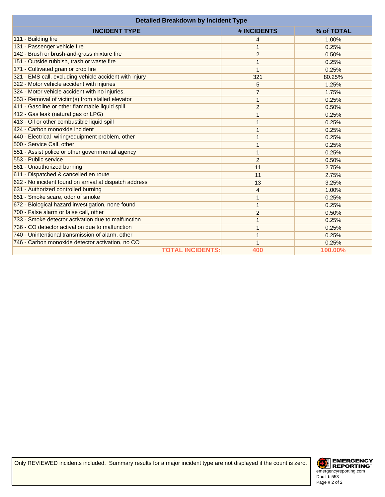| <b>Detailed Breakdown by Incident Type</b>             |                |            |
|--------------------------------------------------------|----------------|------------|
| <b>INCIDENT TYPE</b>                                   | # INCIDENTS    | % of TOTAL |
| 111 - Building fire                                    | 4              | 1.00%      |
| 131 - Passenger vehicle fire                           |                | 0.25%      |
| 142 - Brush or brush-and-grass mixture fire            | $\overline{c}$ | 0.50%      |
| 151 - Outside rubbish, trash or waste fire             | 1              | 0.25%      |
| 171 - Cultivated grain or crop fire                    | 1              | 0.25%      |
| 321 - EMS call, excluding vehicle accident with injury | 321            | 80.25%     |
| 322 - Motor vehicle accident with injuries             | 5              | 1.25%      |
| 324 - Motor vehicle accident with no injuries.         | $\overline{7}$ | 1.75%      |
| 353 - Removal of victim(s) from stalled elevator       | 1              | 0.25%      |
| 411 - Gasoline or other flammable liquid spill         | $\overline{2}$ | 0.50%      |
| 412 - Gas leak (natural gas or LPG)                    |                | 0.25%      |
| 413 - Oil or other combustible liquid spill            |                | 0.25%      |
| 424 - Carbon monoxide incident                         |                | 0.25%      |
| 440 - Electrical wiring/equipment problem, other       |                | 0.25%      |
| 500 - Service Call, other                              |                | 0.25%      |
| 551 - Assist police or other governmental agency       | 1              | 0.25%      |
| 553 - Public service                                   | $\overline{2}$ | 0.50%      |
| 561 - Unauthorized burning                             | 11             | 2.75%      |
| 611 - Dispatched & cancelled en route                  | 11             | 2.75%      |
| 622 - No incident found on arrival at dispatch address | 13             | 3.25%      |
| 631 - Authorized controlled burning                    | 4              | 1.00%      |
| 651 - Smoke scare, odor of smoke                       | 1              | 0.25%      |
| 672 - Biological hazard investigation, none found      | 1              | 0.25%      |
| 700 - False alarm or false call, other                 | $\overline{2}$ | 0.50%      |
| 733 - Smoke detector activation due to malfunction     |                | 0.25%      |
| 736 - CO detector activation due to malfunction        |                | 0.25%      |
| 740 - Unintentional transmission of alarm, other       | 1              | 0.25%      |
| 746 - Carbon monoxide detector activation, no CO       |                | 0.25%      |
| <b>TOTAL INCIDENTS:</b>                                | 400            | 100.00%    |

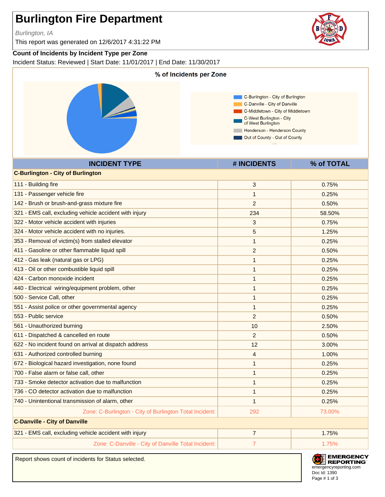Burlington, IA

This report was generated on 12/6/2017 4:31:22 PM

### **Count of Incidents by Incident Type per Zone**

Incident Status: Reviewed | Start Date: 11/01/2017 | End Date: 11/30/2017



Report shows count of incidents for Status selected.



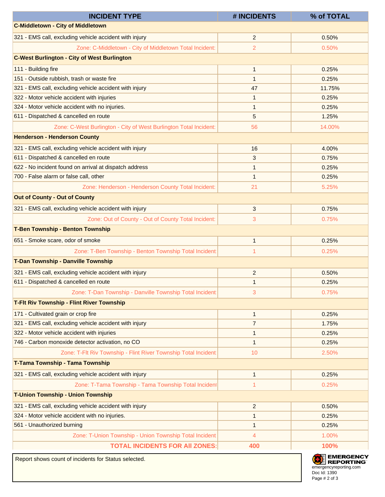| <b>INCIDENT TYPE</b>                                              | # INCIDENTS    | % of TOTAL |
|-------------------------------------------------------------------|----------------|------------|
| <b>C-Middletown - City of Middletown</b>                          |                |            |
| 321 - EMS call, excluding vehicle accident with injury            | $\overline{2}$ | 0.50%      |
| Zone: C-Middletown - City of Middletown Total Incident:           | 2              | 0.50%      |
| <b>C-West Burlington - City of West Burlington</b>                |                |            |
| 111 - Building fire                                               | $\mathbf{1}$   | 0.25%      |
| 151 - Outside rubbish, trash or waste fire                        | $\mathbf{1}$   | 0.25%      |
| 321 - EMS call, excluding vehicle accident with injury            | 47             | 11.75%     |
| 322 - Motor vehicle accident with injuries                        | $\mathbf{1}$   | 0.25%      |
| 324 - Motor vehicle accident with no injuries.                    | $\mathbf{1}$   | 0.25%      |
| 611 - Dispatched & cancelled en route                             | 5              | 1.25%      |
| Zone: C-West Burlington - City of West Burlington Total Incident: | 56             | 14.00%     |
| <b>Henderson - Henderson County</b>                               |                |            |
| 321 - EMS call, excluding vehicle accident with injury            | 16             | 4.00%      |
| 611 - Dispatched & cancelled en route                             | 3              | 0.75%      |
| 622 - No incident found on arrival at dispatch address            | $\mathbf{1}$   | 0.25%      |
| 700 - False alarm or false call, other                            | $\mathbf{1}$   | 0.25%      |
| Zone: Henderson - Henderson County Total Incident:                | 21             | 5.25%      |
| <b>Out of County - Out of County</b>                              |                |            |
| 321 - EMS call, excluding vehicle accident with injury            | 3              | 0.75%      |
| Zone: Out of County - Out of County Total Incident:               | 3              | 0.75%      |
| <b>T-Ben Township - Benton Township</b>                           |                |            |
| 651 - Smoke scare, odor of smoke                                  | $\mathbf{1}$   | 0.25%      |
| Zone: T-Ben Township - Benton Township Total Incident:            | 1              | 0.25%      |
| T-Dan Township - Danville Township                                |                |            |
| 321 - EMS call, excluding vehicle accident with injury            | $\overline{2}$ | 0.50%      |
| 611 - Dispatched & cancelled en route                             | $\mathbf{1}$   | 0.25%      |
| Zone: T-Dan Township - Danville Township Total Incident:          | 3              | 0.75%      |
| <b>T-Fit Riv Township - Flint River Township</b>                  |                |            |
| 171 - Cultivated grain or crop fire                               | $\mathbf{1}$   | 0.25%      |
| 321 - EMS call, excluding vehicle accident with injury            | $\overline{7}$ | 1.75%      |
| 322 - Motor vehicle accident with injuries                        | $\mathbf{1}$   | 0.25%      |
| 746 - Carbon monoxide detector activation, no CO                  | $\mathbf{1}$   | 0.25%      |
| Zone: T-Flt Riv Township - Flint River Township Total Incident:   | 10             | 2.50%      |
| T-Tama Township - Tama Township                                   |                |            |
| 321 - EMS call, excluding vehicle accident with injury            | $\mathbf{1}$   | 0.25%      |
| Zone: T-Tama Township - Tama Township Total Incident              | 1              | 0.25%      |
| <b>T-Union Township - Union Township</b>                          |                |            |
| 321 - EMS call, excluding vehicle accident with injury            | $\overline{c}$ | 0.50%      |
| 324 - Motor vehicle accident with no injuries.                    | $\mathbf{1}$   | 0.25%      |
| 561 - Unauthorized burning                                        | 1              | 0.25%      |
| Zone: T-Union Township - Union Township Total Incident:           | 4              | 1.00%      |
| <b>TOTAL INCIDENTS FOR AII ZONES:</b>                             | 400            | 100%       |

Report shows count of incidents for Status selected.

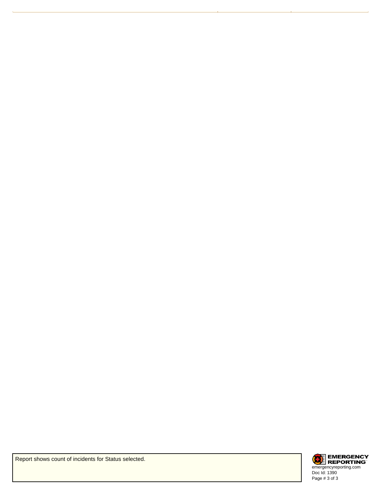

Report shows count of incidents for Status selected.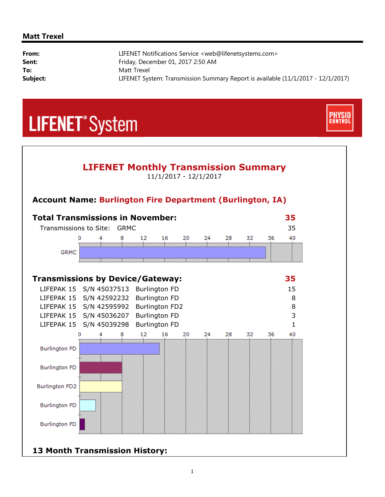#### **Matt Trexel**

i,

| From:    | LIFENET Notifications Service <web@lifenetsystems.com></web@lifenetsystems.com>  |
|----------|----------------------------------------------------------------------------------|
| Sent:    | Friday, December 01, 2017 2:50 AM                                                |
| To:      | Matt Trexel                                                                      |
| Subject: | LIFENET System: Transmission Summary Report is available (11/1/2017 - 12/1/2017) |

**CONTRO** 

## **LIFENET**<sup>\*</sup>System



### **13 Month Transmission History:**